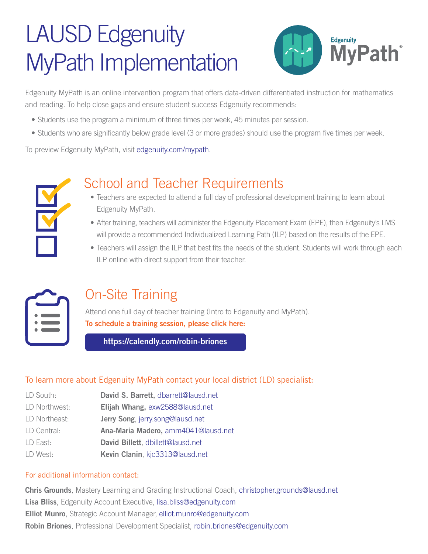# LAUSD Edgenuity MyPath Implementation



Edgenuity MyPath is an online intervention program that offers data-driven differentiated instruction for mathematics and reading. To help close gaps and ensure student success Edgenuity recommends:

- Students use the program a minimum of three times per week, 45 minutes per session.
- Students who are significantly below grade level (3 or more grades) should use the program five times per week.

To preview Edgenuity MyPath, visit [edgenuity.com/mypath.](http://www.edgenuity.com/mypath)



### School and Teacher Requirements

- Teachers are expected to attend a full day of professional development training to learn about Edgenuity MyPath.
- After training, teachers will administer the Edgenuity Placement Exam (EPE), then Edgenuity's LMS will provide a recommended Individualized Learning Path (ILP) based on the results of the EPE.
- Teachers will assign the ILP that best fits the needs of the student. Students will work through each ILP online with direct support from their teacher.



### On-Site Training

Attend one full day of teacher training (Intro to Edgenuity and MyPath). To schedule a training session, please click here:

<https://calendly.com/robin-briones>

#### To learn more about Edgenuity MyPath contact your local district (LD) specialist:

- LD South: **David S. Barrett.** [dbarrett@lausd.net](mailto:dbarrett%40lausd.net%20?subject=)
- LD Northwest: **Elijah Whang, [exw2588@lausd.net](mailto:exw2588%40lausd.net?subject=Edgenuity)**
- LD Northeast: **Jerry Song**, [jerry.song@lausd.net](mailto:jerry.song@lausd.net)
- LD Central: **Ana-Maria Madero, [amm4041@lausd.net](mailto:amm4041%40lausd.net?subject=Edgenuity)**
- LD East: **David Billett**, [dbillett@lausd.net](mailto:dbillett@lausd.net)
- LD West: Kevin Clanin, [kjc3313@lausd.net](mailto:kjc3313@lausd.net)

#### For additional information contact:

Chris Grounds[, Mastery Learning and Grading Instructional Coach, christopher.grounds@lausd.net](mailto:christopher.grounds%40lausd.net?subject=) Lisa Bliss, Edgenuity Account Executive, [lisa.bliss@edgenuity.com](mailto:lisa.bliss@edgenuity.com) Elliot Munro, Strategic Account Manager, [elliot.munro@edgenuity.com](mailto:elliot.munro@edgenuity.com) Robin Briones[, Professional Development Specialist,](mailto:robin.briones%40edgenuity.com?subject=) robin.briones@edgenuity.com